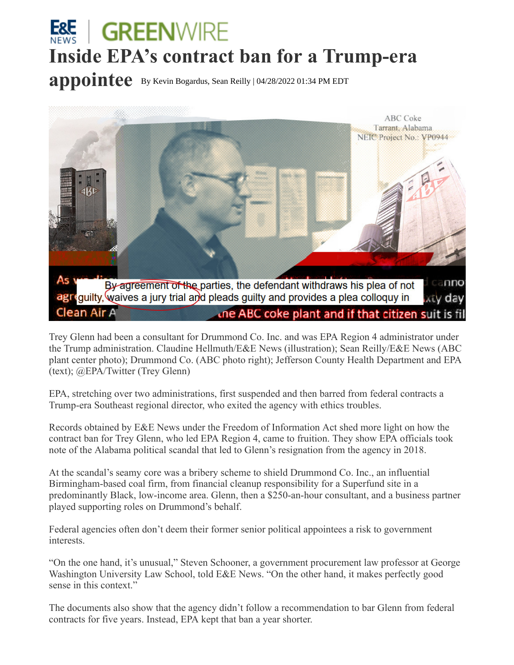## **E&E** GREENWIRE **Inside EPA's contract ban for a Trump-era**

**appointee** By Kevin Bogardus, Sean Reilly | 04/28/2022 01:34 PM EDT



Trey Glenn had been a consultant for Drummond Co. Inc. and was EPA Region 4 administrator under the Trump administration. Claudine Hellmuth/E&E News (illustration); Sean Reilly/E&E News (ABC plant center photo); Drummond Co. (ABC photo right); Jefferson County Health Department and EPA (text); @EPA/Twitter (Trey Glenn)

EPA, stretching over two administrations, first suspended and then barred from federal contracts a Trump-era Southeast regional director, who exited the agency with ethics troubles.

Records obtained by E&E News under the Freedom of Information Act shed more light on how the contract ban for Trey Glenn, who led EPA Region 4, came to fruition. They show EPA officials took note of the Alabama political scandal that led to Glenn's resignation from the agency in 2018.

At the scandal's seamy core was a bribery scheme to shield Drummond Co. Inc., an influential Birmingham-based coal firm, from financial cleanup responsibility for a Superfund site in a predominantly Black, low-income area. Glenn, then a \$250-an-hour consultant, and a business partner played supporting roles on Drummond's behalf.

Federal agencies often don't deem their former senior political appointees a risk to government interests.

"On the one hand, it's unusual," Steven Schooner, a government procurement law professor at George Washington University Law School, told E&E News. "On the other hand, it makes perfectly good sense in this context."

The documents also show that the agency didn't follow a recommendation to bar Glenn from federal contracts for five years. Instead, EPA kept that ban a year shorter.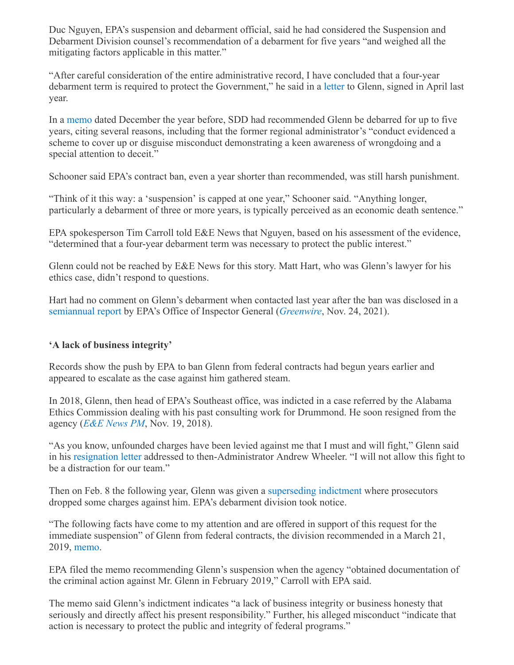Duc Nguyen, EPA's suspension and debarment official, said he had considered the Suspension and Debarment Division counsel's recommendation of a debarment for five years "and weighed all the mitigating factors applicable in this matter."

"After careful consideration of the entire administrative record, I have concluded that a four-year debarment term is required to protect the Government," he said in a [letter](https://subscriber.politicopro.com/eenews/f/eenews/?id=00000180-622c-dd36-a38c-676c62e70000) to Glenn, signed in April last year.

In a [memo](https://subscriber.politicopro.com/eenews/f/eenews/?id=00000180-622e-d7d2-adbc-7e3e96fd0000) dated December the year before, SDD had recommended Glenn be debarred for up to five years, citing several reasons, including that the former regional administrator's "conduct evidenced a scheme to cover up or disguise misconduct demonstrating a keen awareness of wrongdoing and a special attention to deceit."

Schooner said EPA's contract ban, even a year shorter than recommended, was still harsh punishment.

"Think of it this way: a 'suspension' is capped at one year," Schooner said. "Anything longer, particularly a debarment of three or more years, is typically perceived as an economic death sentence."

EPA spokesperson Tim Carroll told E&E News that Nguyen, based on his assessment of the evidence, "determined that a four-year debarment term was necessary to protect the public interest."

Glenn could not be reached by E&E News for this story. Matt Hart, who was Glenn's lawyer for his ethics case, didn't respond to questions.

Hart had no comment on Glenn's debarment when contacted last year after the ban was disclosed in a [semiannual report](https://subscriber.politicopro.com/eenews/f/eenews/?id=00000180-672f-d337-a9cc-ffaf9f460000) by EPA's Office of Inspector General (*[Greenwire](https://subscriber.politicopro.com/article/eenews/2021/11/24/epa-bans-trump-era-regional-chief-from-federal-contracts-283625)*, Nov. 24, 2021).

## **'A lack of business integrity'**

Records show the push by EPA to ban Glenn from federal contracts had begun years earlier and appeared to escalate as the case against him gathered steam.

In 2018, Glenn, then head of EPA's Southeast office, was indicted in a case referred by the Alabama Ethics Commission dealing with his past consulting work for Drummond. He soon resigned from the agency (*[E&E News PM](https://subscriber.politicopro.com/article/eenews/2018/11/19/regional-boss-resigns-035813)*, Nov. 19, 2018).

"As you know, unfounded charges have been levied against me that I must and will fight," Glenn said in his [resignation letter](https://subscriber.politicopro.com/eenews/f/eenews/?id=00000180-622c-d3ee-a392-73bfe4d30000) addressed to then-Administrator Andrew Wheeler. "I will not allow this fight to be a distraction for our team."

Then on Feb. 8 the following year, Glenn was given a [superseding indictment](https://legacy-assets.eenews.net/open_files/assets/2019/02/13/document_gw_03.pdf) where prosecutors dropped some charges against him. EPA's debarment division took notice.

"The following facts have come to my attention and are offered in support of this request for the immediate suspension" of Glenn from federal contracts, the division recommended in a March 21, 2019, [memo](https://subscriber.politicopro.com/eenews/f/eenews/?id=00000180-622b-d337-a9cc-faab668a0000).

EPA filed the memo recommending Glenn's suspension when the agency "obtained documentation of the criminal action against Mr. Glenn in February 2019," Carroll with EPA said.

The memo said Glenn's indictment indicates "a lack of business integrity or business honesty that seriously and directly affect his present responsibility." Further, his alleged misconduct "indicate that action is necessary to protect the public and integrity of federal programs."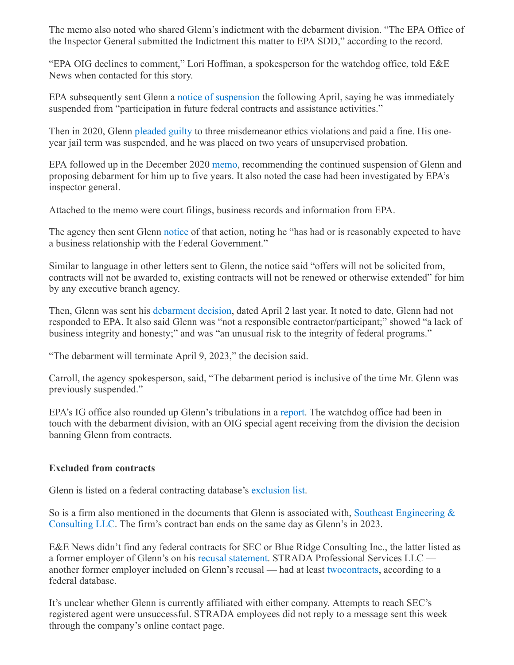The memo also noted who shared Glenn's indictment with the debarment division. "The EPA Office of the Inspector General submitted the Indictment this matter to EPA SDD," according to the record.

"EPA OIG declines to comment," Lori Hoffman, a spokesperson for the watchdog office, told E&E News when contacted for this story.

EPA subsequently sent Glenn a [notice of suspension](https://subscriber.politicopro.com/eenews/f/eenews/?id=00000180-622d-d3ee-a392-73bfc1840000) the following April, saying he was immediately suspended from "participation in future federal contracts and assistance activities."

Then in 2020, Glenn [pleaded guilty](https://legacy-assets.eenews.net/open_files/assets/2020/11/02/document_gw_04.pdf) to three misdemeanor ethics violations and paid a fine. His oneyear jail term was suspended, and he was placed on two years of unsupervised probation.

EPA followed up in the December 2020 [memo,](https://subscriber.politicopro.com/eenews/f/eenews/?id=00000180-622e-d7d2-adbc-7e3e96fd0000) recommending the continued suspension of Glenn and proposing debarment for him up to five years. It also noted the case had been investigated by EPA's inspector general.

Attached to the memo were court filings, business records and information from EPA.

The agency then sent Glenn [notice](https://subscriber.politicopro.com/eenews/f/eenews/?id=00000180-6311-d7d2-adbc-7f13a7a20000) of that action, noting he "has had or is reasonably expected to have a business relationship with the Federal Government."

Similar to language in other letters sent to Glenn, the notice said "offers will not be solicited from, contracts will not be awarded to, existing contracts will not be renewed or otherwise extended" for him by any executive branch agency.

Then, Glenn was sent his [debarment decision,](https://subscriber.politicopro.com/eenews/f/eenews/?id=00000180-622c-dd36-a38c-676c62e70000) dated April 2 last year. It noted to date, Glenn had not responded to EPA. It also said Glenn was "not a responsible contractor/participant;" showed "a lack of business integrity and honesty;" and was "an unusual risk to the integrity of federal programs."

"The debarment will terminate April 9, 2023," the decision said.

Carroll, the agency spokesperson, said, "The debarment period is inclusive of the time Mr. Glenn was previously suspended."

EPA's IG office also rounded up Glenn's tribulations in a [report.](https://subscriber.politicopro.com/eenews/f/eenews/?id=00000180-622f-d3ee-a392-73bf6d100000) The watchdog office had been in touch with the debarment division, with an OIG special agent receiving from the division the decision banning Glenn from contracts.

## **Excluded from contracts**

Glenn is listed on a federal contracting database's [exclusion list.](https://sam.gov/exclusions-new?pirKey=325268&pirValue=1617613151491151)

So is a firm also mentioned in the documents that Glenn is associated with, Southeast Engineering  $\&$ Consulting LLC. The firm's contract ban ends on the same day as Glenn's in 2023.

E&E News didn't find any federal contracts for SEC or Blue Ridge Consulting Inc., the latter listed as a former employer of Glenn's on his [recusal statement.](https://subscriber.politicopro.com/eenews/f/eenews/?id=00000180-6311-d3ee-a392-739ba9b00000) STRADA Professional Services LLC another former employer included on Glenn's recusal — had at least [two](https://www.usaspending.gov/award/CONT_AWD_140P5120P0025_1443_-NONE-_-NONE-)[contracts](https://www.usaspending.gov/award/CONT_AWD_12445122P0004_12C2_-NONE-_-NONE-), according to a federal database.

It's unclear whether Glenn is currently affiliated with either company. Attempts to reach SEC's registered agent were unsuccessful. STRADA employees did not reply to a message sent this week through the company's online contact page.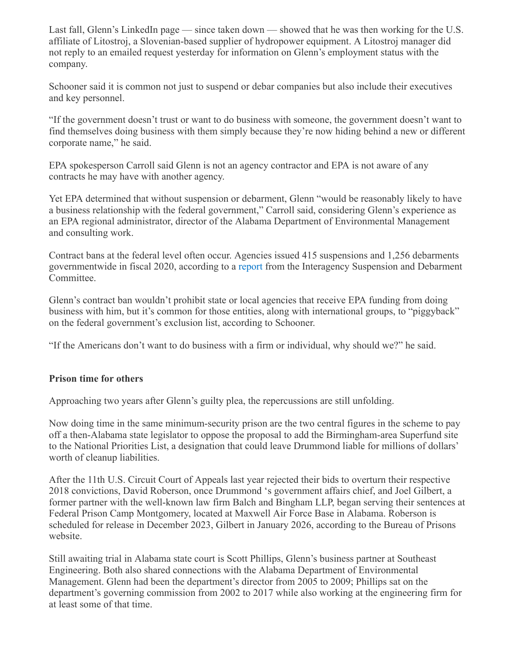Last fall, Glenn's LinkedIn page — since taken down — showed that he was then working for the U.S. affiliate of Litostroj, a Slovenian-based supplier of hydropower equipment. A Litostroj manager did not reply to an emailed request yesterday for information on Glenn's employment status with the company.

Schooner said it is common not just to suspend or debar companies but also include their executives and key personnel.

"If the government doesn't trust or want to do business with someone, the government doesn't want to find themselves doing business with them simply because they're now hiding behind a new or different corporate name," he said.

EPA spokesperson Carroll said Glenn is not an agency contractor and EPA is not aware of any contracts he may have with another agency.

Yet EPA determined that without suspension or debarment, Glenn "would be reasonably likely to have a business relationship with the federal government," Carroll said, considering Glenn's experience as an EPA regional administrator, director of the Alabama Department of Environmental Management and consulting work.

Contract bans at the federal level often occur. Agencies issued 415 suspensions and 1,256 debarments governmentwide in fiscal 2020, according to a [report](https://subscriber.politicopro.com/eenews/f/eenews/?id=00000180-6c77-dd36-a38c-6f7f685a0001) from the Interagency Suspension and Debarment Committee.

Glenn's contract ban wouldn't prohibit state or local agencies that receive EPA funding from doing business with him, but it's common for those entities, along with international groups, to "piggyback" on the federal government's exclusion list, according to Schooner.

"If the Americans don't want to do business with a firm or individual, why should we?" he said.

## **Prison time for others**

Approaching two years after Glenn's guilty plea, the repercussions are still unfolding.

Now doing time in the same minimum-security prison are the two central figures in the scheme to pay off a then-Alabama state legislator to oppose the proposal to add the Birmingham-area Superfund site to the National Priorities List, a designation that could leave Drummond liable for millions of dollars' worth of cleanup liabilities.

After the 11th U.S. Circuit Court of Appeals last year rejected their bids to overturn their respective 2018 convictions, David Roberson, once Drummond 's government affairs chief, and Joel Gilbert, a former partner with the well-known law firm Balch and Bingham LLP, began serving their sentences at Federal Prison Camp Montgomery, located at Maxwell Air Force Base in Alabama. Roberson is scheduled for release in December 2023, Gilbert in January 2026, according to the Bureau of Prisons website.

Still awaiting trial in Alabama state court is Scott Phillips, Glenn's business partner at Southeast Engineering. Both also shared connections with the Alabama Department of Environmental Management. Glenn had been the department's director from 2005 to 2009; Phillips sat on the department's governing commission from 2002 to 2017 while also working at the engineering firm for at least some of that time.